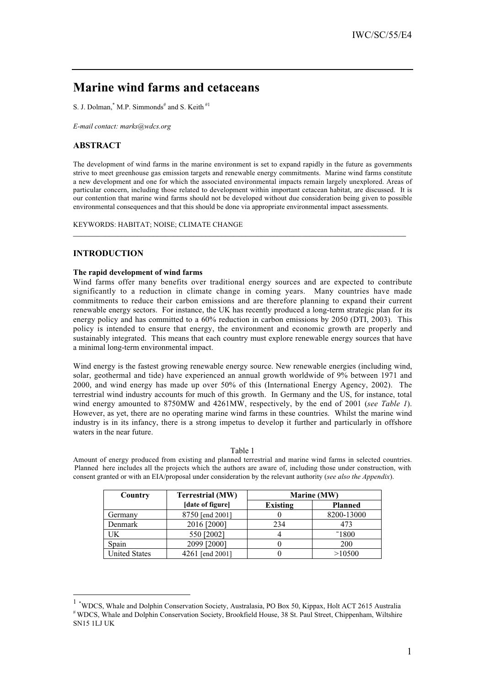# **Marine wind farms and cetaceans**

S. J. Dolman,  $^*$  M.P. Simmonds<sup>#</sup> and S. Keith<sup>#1</sup>

*E-mail contact: marks@wdcs.org*

# **ABSTRACT**

The development of wind farms in the marine environment is set to expand rapidly in the future as governments strive to meet greenhouse gas emission targets and renewable energy commitments. Marine wind farms constitute a new development and one for which the associated environmental impacts remain largely unexplored. Areas of particular concern, including those related to development within important cetacean habitat, are discussed. It is our contention that marine wind farms should not be developed without due consideration being given to possible environmental consequences and that this should be done via appropriate environmental impact assessments.

**\_\_\_\_\_\_\_\_\_\_\_\_\_\_\_\_\_\_\_\_\_\_\_\_\_\_\_\_\_\_\_\_\_\_\_\_\_\_\_\_\_\_\_\_\_\_\_\_\_\_\_\_\_\_\_\_\_\_\_\_\_\_\_\_\_\_\_\_\_\_\_\_\_\_\_\_\_\_\_\_\_\_\_**

KEYWORDS: HABITAT; NOISE; CLIMATE CHANGE

# **INTRODUCTION**

# **The rapid development of wind farms**

Wind farms offer many benefits over traditional energy sources and are expected to contribute significantly to a reduction in climate change in coming years. Many countries have made commitments to reduce their carbon emissions and are therefore planning to expand their current renewable energy sectors. For instance, the UK has recently produced a long-term strategic plan for its energy policy and has committed to a 60% reduction in carbon emissions by 2050 (DTI, 2003). This policy is intended to ensure that energy, the environment and economic growth are properly and sustainably integrated. This means that each country must explore renewable energy sources that have a minimal long-term environmental impact.

Wind energy is the fastest growing renewable energy source. New renewable energies (including wind, solar, geothermal and tide) have experienced an annual growth worldwide of 9% between 1971 and 2000, and wind energy has made up over 50% of this (International Energy Agency, 2002). The terrestrial wind industry accounts for much of this growth. In Germany and the US, for instance, total wind energy amounted to 8750MW and 4261MW, respectively, by the end of 2001 (*see Table 1*). However, as yet, there are no operating marine wind farms in these countries. Whilst the marine wind industry is in its infancy, there is a strong impetus to develop it further and particularly in offshore waters in the near future.

## Table 1

Amount of energy produced from existing and planned terrestrial and marine wind farms in selected countries. Planned here includes all the projects which the authors are aware of, including those under construction, with consent granted or with an EIA/proposal under consideration by the relevant authority (*see also the Appendix*).

| Country              | <b>Terrestrial (MW)</b> |          | Marine (MW)    |
|----------------------|-------------------------|----------|----------------|
|                      | [date of figure]        | Existing | <b>Planned</b> |
| Germany              | 8750 [end 2001]         |          | 8200-13000     |
| Denmark              | 2016 [2000]             | 234      | 473            |
| UK                   | 550 [2002]              |          | $-1800$        |
| Spain                | 2099 [2000]             |          | 200            |
| <b>United States</b> | 4261 [end 2001]         |          | >10500         |

 <sup>1</sup> \* WDCS, Whale and Dolphin Conservation Society, Australasia, PO Box 50, Kippax, Holt ACT 2615 Australia # WDCS, Whale and Dolphin Conservation Society, Brookfield House, 38 St. Paul Street, Chippenham, Wiltshire SN15 1LJ UK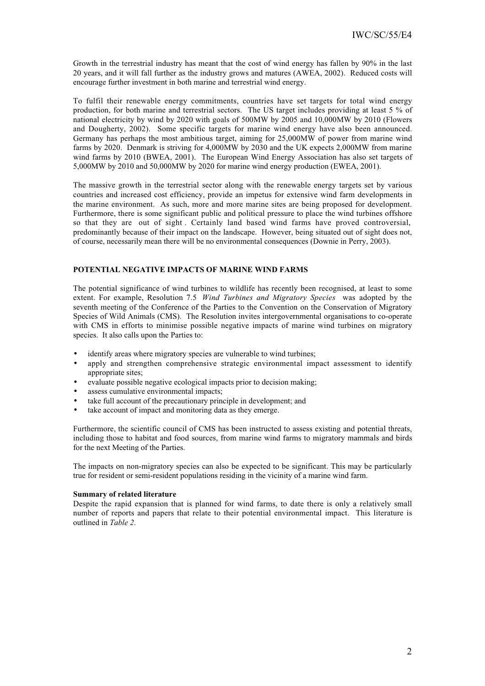Growth in the terrestrial industry has meant that the cost of wind energy has fallen by 90% in the last 20 years, and it will fall further as the industry grows and matures (AWEA, 2002). Reduced costs will encourage further investment in both marine and terrestrial wind energy.

To fulfil their renewable energy commitments, countries have set targets for total wind energy production, for both marine and terrestrial sectors. The US target includes providing at least 5 % of national electricity by wind by 2020 with goals of 500MW by 2005 and 10,000MW by 2010 (Flowers and Dougherty, 2002). Some specific targets for marine wind energy have also been announced. Germany has perhaps the most ambitious target, aiming for 25,000MW of power from marine wind farms by 2020. Denmark is striving for 4,000MW by 2030 and the UK expects 2,000MW from marine wind farms by 2010 (BWEA, 2001). The European Wind Energy Association has also set targets of 5,000MW by 2010 and 50,000MW by 2020 for marine wind energy production (EWEA, 2001).

The massive growth in the terrestrial sector along with the renewable energy targets set by various countries and increased cost efficiency, provide an impetus for extensive wind farm developments in the marine environment. As such, more and more marine sites are being proposed for development. Furthermore, there is some significant public and political pressure to place the wind turbines offshore so that they are out of sight . Certainly land based wind farms have proved controversial, predominantly because of their impact on the landscape. However, being situated out of sight does not, of course, necessarily mean there will be no environmental consequences (Downie in Perry, 2003).

### **POTENTIAL NEGATIVE IMPACTS OF MARINE WIND FARMS**

The potential significance of wind turbines to wildlife has recently been recognised, at least to some extent. For example, Resolution 7.5 *Wind Turbines and Migratory Species* was adopted by the seventh meeting of the Conference of the Parties to the Convention on the Conservation of Migratory Species of Wild Animals (CMS). The Resolution invites intergovernmental organisations to co-operate with CMS in efforts to minimise possible negative impacts of marine wind turbines on migratory species. It also calls upon the Parties to:

- identify areas where migratory species are vulnerable to wind turbines;
- apply and strengthen comprehensive strategic environmental impact assessment to identify appropriate sites;
- evaluate possible negative ecological impacts prior to decision making;
- assess cumulative environmental impacts;
- take full account of the precautionary principle in development; and
- take account of impact and monitoring data as they emerge.

Furthermore, the scientific council of CMS has been instructed to assess existing and potential threats, including those to habitat and food sources, from marine wind farms to migratory mammals and birds for the next Meeting of the Parties.

The impacts on non-migratory species can also be expected to be significant. This may be particularly true for resident or semi-resident populations residing in the vicinity of a marine wind farm.

#### **Summary of related literature**

Despite the rapid expansion that is planned for wind farms, to date there is only a relatively small number of reports and papers that relate to their potential environmental impact. This literature is outlined in *Table 2*.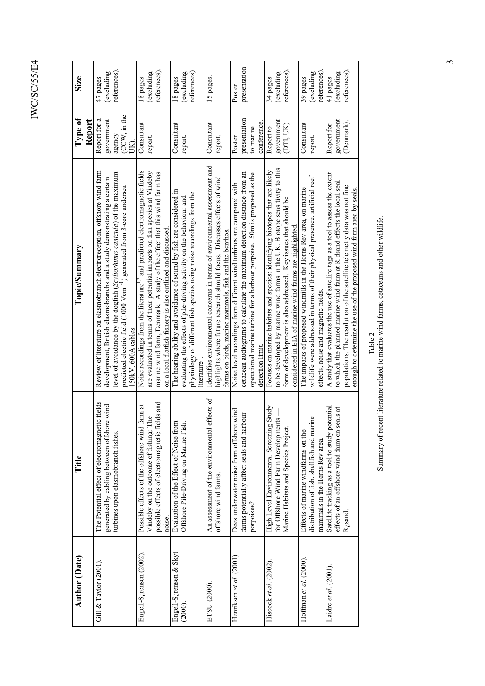| <b>Author (Date)</b>                           | Title                                                                                                                                                  | Topic/Summary                                                                                                                                                                                                                                                                                                                              | Type of<br>Report                                            | Size                                   |
|------------------------------------------------|--------------------------------------------------------------------------------------------------------------------------------------------------------|--------------------------------------------------------------------------------------------------------------------------------------------------------------------------------------------------------------------------------------------------------------------------------------------------------------------------------------------|--------------------------------------------------------------|----------------------------------------|
| Gill $&$ Taylor (2001).                        | The Potential effect of electromagnetic fields<br>generated by cabling between offshore wind<br>turbines upon elasmobranch fishes.                     | Review of literature on elasmobranch electroreception, offshore wind farm<br>level of avoidance by the dogfish (Scyliorhinus canicula) of the maximum<br>development, British elasmobranchs and a study demonstrating a certain<br>predicted electric field (1000 Vcm <sup>-1</sup> ) generated from 3-core undersea<br>150kV, 600A cables | (CCW, in the<br>Report for a<br>government<br>agency<br>UK). | references).<br>(excluding<br>47 pages |
| Engell-S <sub>c</sub> rensen (2002).           | possible effects of electromagnetic fields and<br>farm at<br>Vindeby on the outcome of fishing: The<br>Possible effects of the offshore wind<br>noise. | Noise recordings from the literature <sup>1,2</sup> and predicted electromagnetic fields<br>are evaluated in terms of their potential impacts on fish species at Vindeby<br>marine wind farm, Denmark. A study of the effect that this wind farm has<br>on a local flatfish fishery is also outlined and discussed                         | Consultant<br>report                                         | references).<br>(excluding<br>18 pages |
| Engell-S <sub>c</sub> rensen & Skyt<br>(2000). | Evaluation of the Effect of Noise from<br>Offshore Pile-Driving on Marine Fish.                                                                        | The hearing ability and avoidance of sound by fish are considered in<br>physiology of different fish species using noise recordings from the<br>evaluating the effects of pile-driving activity on the behaviour and<br>literature                                                                                                         | Consultant<br>report                                         | references).<br>(excluding<br>18 pages |
| ETSU (2000).                                   | effects of<br>An assessment of the environmental<br>offshore wind farms.                                                                               | Identifies environmental concerns in terms of environmental assessment and<br>highlights where future research should focus. Discusses effects of wind<br>farms on birds, marine mammals, fish and the benthos.                                                                                                                            | Consultant<br>report                                         | 15 pages.                              |
| Henriksen et al. (2001).                       | wind<br>farms potentially affect seals and harbour<br>Does underwater noise from offshore<br>porpoises?                                                | cetacean audiograms to calculate the maximum detection distance from an<br>operational marine turbine for a harbour porpoise. 50m is proposed as the<br>Noise level recordings from different wind turbines are compared with<br>detection limit.                                                                                          | presentation<br>conference.<br>to marine<br>Poster           | presentation<br>Poster                 |
| Hiscock et al. (2002).                         | Study<br>for Offshore Wind Farm Developments<br>High Level Environmental Screening<br>Marine Habitats and Species Project.                             | to be developed by marine wind farms in the UK. Biotope sensitivity to this<br>Focuses on marine habitats and species: identifying biotopes that are likely<br>form of development is also addressed. Key issues that should be<br>considered in EIA of marine wind farms are highlighted                                                  | government<br>(DTI, UK<br>Report to                          | references).<br>(excluding<br>34 pages |
| Hoffman et al. $(2000)$ .                      | distribution of fish, shellfish and marine<br>Effects of marine windfarms on the<br>mammals in the Horns Rev area.                                     | wildlife were addressed in terms of their physical presence, artificial reef<br>The impacts of proposed windmills in the Horns Rev area, on marine<br>effects, noise and magnetic fields.                                                                                                                                                  | Consultant<br>report.                                        | (excluding<br>references)<br>39 pages  |
| Laidre et al. (2001).                          | Satellite tracking as a tool to study potential<br>effects of an offshore wind farm on seals at<br>$\rm R_{\cal C}$ sand                               | A study that evaluates the use of satellite tags as a tool to assess the extent<br>to which the planned marine wind farm at R dsand effects the local seal<br>populations. The resolution of the satellite telemetry data was not fine<br>enough to determine the use of the proposed wind farm area by seals.                             | government<br>(Denmark).<br>Report for                       | references).<br>(excluding<br>41 pages |

 $Table~2$  Summary of recent literature related to marine wind farms, cetace<br>ans and other wildlife. Summary of recent literature related to marine wind farms, cetaceans and other wildlife.

 $\omega$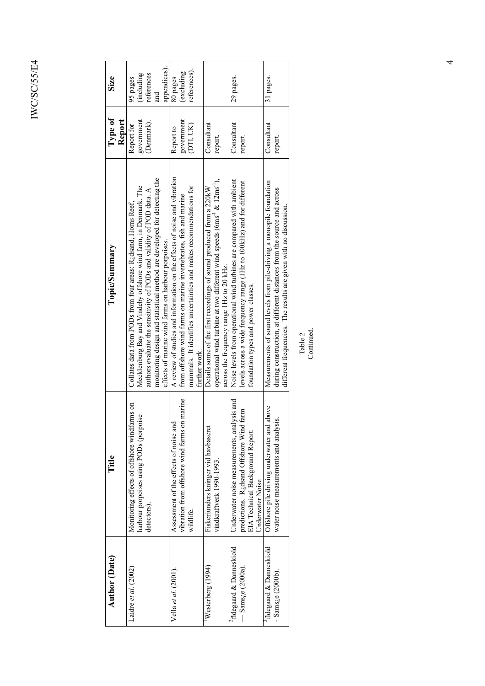| <b>Author</b> (Date)                          | Title                                           | Topic/Summary                                                                       | Type of    | Size         |
|-----------------------------------------------|-------------------------------------------------|-------------------------------------------------------------------------------------|------------|--------------|
|                                               |                                                 |                                                                                     | Report     |              |
| Laidre et al. (2002)                          | Monitoring effects of offshore windfarms on     | Collates data from PODs from four areas: R <sub>i</sub> dsand, Horns Reef,          | Report for | 95 pages     |
|                                               | harbour porpoises using PODs (porpoise          | Mecklenburg Bay and Vindeby offshore wind farm, in Denmark. The                     | government | (including   |
|                                               | detectors).                                     | authors evaluate the sensitivity of PODs and validity of POD data. A                | (Denmark). | references   |
|                                               |                                                 | monitoring design and statistical method are developed for detecting the            |            | and          |
|                                               |                                                 | effects of marine wind farms on harbour porpoises.                                  |            | appendices). |
| Vella et al. (2001).                          | Assessment of the effects of noise and          | A review of studies and information on the effects of noise and vibration           | Report to  | 80 pages     |
|                                               | on marine<br>vibration from offshore wind farms | from offshore wind farms on marine invertebrates, fish and marine                   | government | (excluding   |
|                                               | wildlife.                                       | mammals. It identifies uncertainties and makes recommendations for                  | (DTI, UK)  | references). |
|                                               |                                                 | further work.                                                                       |            |              |
| Westerberg (1994)                             | Fiskeriunders kninger vid havbasere             | Details some of the first recordings of sound produced from a 220kW                 | Consultant |              |
|                                               | vindkraftverk 1990-1993.                        | operational wind turbine at two different wind speeds ( $6ms^{-1}$ & $12ms^{-1}$ ), | report.    |              |
|                                               |                                                 | across the frequency range 1Hz to 20 kHz.                                           |            |              |
| <sup>4</sup> fldegaard & Danneskiold          | alysis and<br>Underwater noise measurements, an | Noise levels from operational wind turbines are compared with ambient               | Consultant | 29 pages.    |
| $-$ Sams <sub><math>i</math></sub> e (2000a). | predictions. R; dsand Offshore Wind farm        | levels across a wide frequency range (1Hz to 100kHz) and for different              | report.    |              |
|                                               | EIA Technical Background Report:                | foundation types and power classes.                                                 |            |              |
|                                               | <b>Jnderwater Noise</b>                         |                                                                                     |            |              |
| <sup>3</sup> fldegaard & Danneskiold          | Offshore pile driving underwater and above      | Measurements of sound levels from pile-driving a monopile foundation                | Consultant | 31 pages.    |
| - Sams <sub><math>i</math></sub> e (2000b).   | water noise measurements and analysis.          | during construction, at different distances from the source and across              | report.    |              |
|                                               |                                                 | different frequencies. The results are given with no discussion.                    |            |              |
|                                               |                                                 |                                                                                     |            |              |

Table 2<br>Continued. Continued.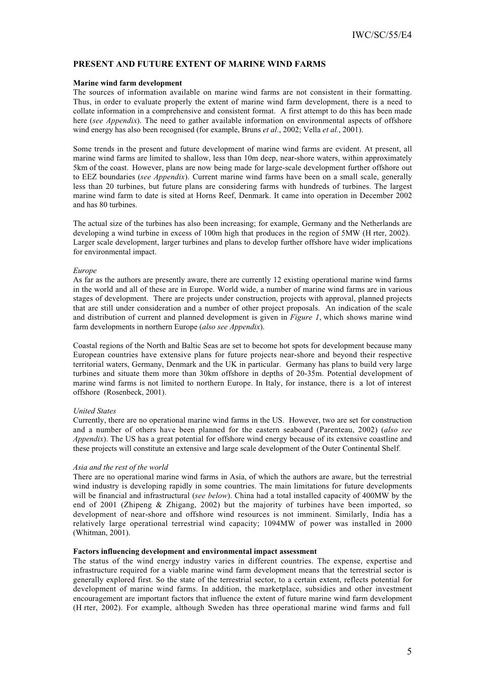# **PRESENT AND FUTURE EXTENT OF MARINE WIND FARMS**

#### **Marine wind farm development**

The sources of information available on marine wind farms are not consistent in their formatting. Thus, in order to evaluate properly the extent of marine wind farm development, there is a need to collate information in a comprehensive and consistent format. A first attempt to do this has been made here (*see Appendix*). The need to gather available information on environmental aspects of offshore wind energy has also been recognised (for example, Bruns *et al*., 2002; Vella *et al.*, 2001).

Some trends in the present and future development of marine wind farms are evident. At present, all marine wind farms are limited to shallow, less than 10m deep, near-shore waters, within approximately 5km of the coast. However, plans are now being made for large-scale development further offshore out to EEZ boundaries (*see Appendix*). Current marine wind farms have been on a small scale, generally less than 20 turbines, but future plans are considering farms with hundreds of turbines. The largest marine wind farm to date is sited at Horns Reef, Denmark. It came into operation in December 2002 and has 80 turbines.

The actual size of the turbines has also been increasing; for example, Germany and the Netherlands are developing a wind turbine in excess of 100m high that produces in the region of 5MW (H rter, 2002). Larger scale development, larger turbines and plans to develop further offshore have wider implications for environmental impact.

#### *Europe*

As far as the authors are presently aware, there are currently 12 existing operational marine wind farms in the world and all of these are in Europe. World wide, a number of marine wind farms are in various stages of development. There are projects under construction, projects with approval, planned projects that are still under consideration and a number of other project proposals. An indication of the scale and distribution of current and planned development is given in *Figure 1*, which shows marine wind farm developments in northern Europe (*also see Appendix*).

Coastal regions of the North and Baltic Seas are set to become hot spots for development because many European countries have extensive plans for future projects near-shore and beyond their respective territorial waters, Germany, Denmark and the UK in particular. Germany has plans to build very large turbines and situate them more than 30km offshore in depths of 20-35m. Potential development of marine wind farms is not limited to northern Europe. In Italy, for instance, there is a lot of interest offshore (Rosenbeck, 2001).

#### *United States*

Currently, there are no operational marine wind farms in the US. However, two are set for construction and a number of others have been planned for the eastern seaboard (Parenteau, 2002) (*also see Appendix*). The US has a great potential for offshore wind energy because of its extensive coastline and these projects will constitute an extensive and large scale development of the Outer Continental Shelf.

#### *Asia and the rest of the world*

There are no operational marine wind farms in Asia, of which the authors are aware, but the terrestrial wind industry is developing rapidly in some countries. The main limitations for future developments will be financial and infrastructural (*see below*). China had a total installed capacity of 400MW by the end of 2001 (Zhipeng & Zhigang, 2002) but the majority of turbines have been imported, so development of near-shore and offshore wind resources is not imminent. Similarly, India has a relatively large operational terrestrial wind capacity; 1094MW of power was installed in 2000 (Whitman, 2001).

#### **Factors influencing development and environmental impact assessment**

The status of the wind energy industry varies in different countries. The expense, expertise and infrastructure required for a viable marine wind farm development means that the terrestrial sector is generally explored first. So the state of the terrestrial sector, to a certain extent, reflects potential for development of marine wind farms. In addition, the marketplace, subsidies and other investment encouragement are important factors that influence the extent of future marine wind farm development (H rter, 2002). For example, although Sweden has three operational marine wind farms and full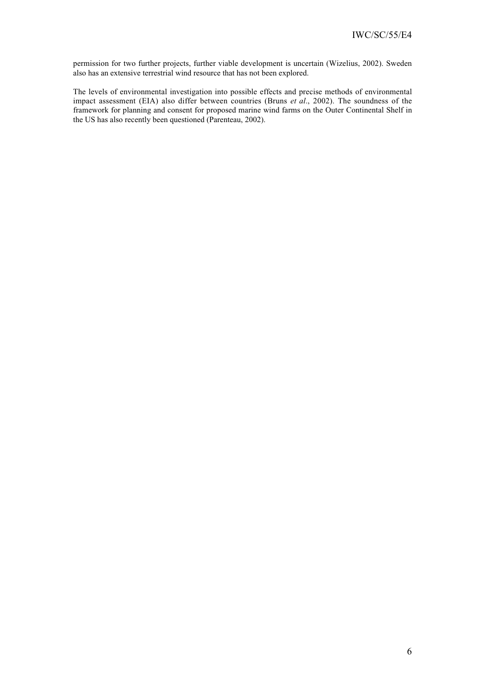permission for two further projects, further viable development is uncertain (Wizelius, 2002). Sweden also has an extensive terrestrial wind resource that has not been explored.

The levels of environmental investigation into possible effects and precise methods of environmental impact assessment (EIA) also differ between countries (Bruns *et al*., 2002). The soundness of the framework for planning and consent for proposed marine wind farms on the Outer Continental Shelf in the US has also recently been questioned (Parenteau, 2002).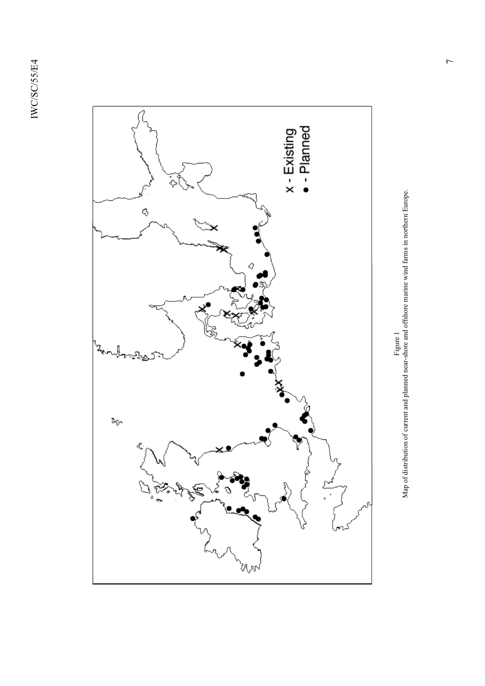

Figure 1<br>Map of distribution of current and planned near-shore and offshore marine wind farms in northern Europe. Map of distribution of current and planned near-shore and offshore marine wind farms in northern Europe.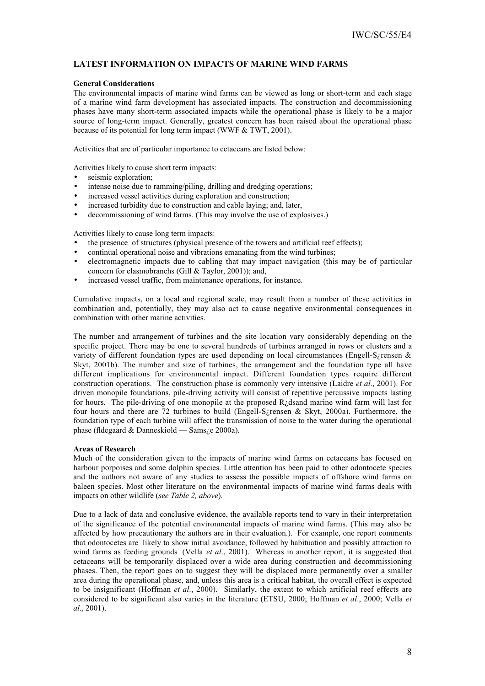# **LATEST INFORMATION ON IMPACTS OF MARINE WIND FARMS**

# **General Considerations**

The environmental impacts of marine wind farms can be viewed as long or short-term and each stage of a marine wind farm development has associated impacts. The construction and decommissioning phases have many short-term associated impacts while the operational phase is likely to be a major source of long-term impact. Generally, greatest concern has been raised about the operational phase because of its potential for long term impact (WWF & TWT, 2001).

Activities that are of particular importance to cetaceans are listed below:

Activities likely to cause short term impacts:

- seismic exploration;
- intense noise due to ramming/piling, drilling and dredging operations;
- increased vessel activities during exploration and construction:
- increased turbidity due to construction and cable laying; and, later,
- decommissioning of wind farms. (This may involve the use of explosives.)

Activities likely to cause long term impacts:

- the presence of structures (physical presence of the towers and artificial reef effects);
- continual operational noise and vibrations emanating from the wind turbines;
- electromagnetic impacts due to cabling that may impact navigation (this may be of particular concern for elasmobranchs (Gill & Taylor, 2001)); and,
- increased vessel traffic, from maintenance operations, for instance.

Cumulative impacts, on a local and regional scale, may result from a number of these activities in combination and, potentially, they may also act to cause negative environmental consequences in combination with other marine activities.

The number and arrangement of turbines and the site location vary considerably depending on the specific project. There may be one to several hundreds of turbines arranged in rows or clusters and a variety of different foundation types are used depending on local circumstances (Engell-S¿rensen & Skyt, 2001b). The number and size of turbines, the arrangement and the foundation type all have different implications for environmental impact. Different foundation types require different construction operations. The construction phase is commonly very intensive (Laidre *et al*., 2001). For driven monopile foundations, pile-driving activity will consist of repetitive percussive impacts lasting for hours. The pile-driving of one monopile at the proposed R¿dsand marine wind farm will last for four hours and there are 72 turbines to build (Engell-S¿rensen & Skyt, 2000a). Furthermore, the foundation type of each turbine will affect the transmission of noise to the water during the operational phase (fldegaard & Danneskiold — Sams¿e 2000a).

# **Areas of Research**

Much of the consideration given to the impacts of marine wind farms on cetaceans has focused on harbour porpoises and some dolphin species. Little attention has been paid to other odontocete species and the authors not aware of any studies to assess the possible impacts of offshore wind farms on baleen species. Most other literature on the environmental impacts of marine wind farms deals with impacts on other wildlife (*see Table 2, above*).

Due to a lack of data and conclusive evidence, the available reports tend to vary in their interpretation of the significance of the potential environmental impacts of marine wind farms. (This may also be affected by how precautionary the authors are in their evaluation.). For example, one report comments that odontocetes are likely to show initial avoidance, followed by habituation and possibly attraction to wind farms as feeding grounds (Vella *et al*., 2001). Whereas in another report, it is suggested that cetaceans will be temporarily displaced over a wide area during construction and decommissioning phases. Then, the report goes on to suggest they will be displaced more permanently over a smaller area during the operational phase, and, unless this area is a critical habitat, the overall effect is expected to be insignificant (Hoffman *et al*., 2000). Similarly, the extent to which artificial reef effects are considered to be significant also varies in the literature (ETSU, 2000; Hoffman *et al*., 2000; Vella *et al*., 2001).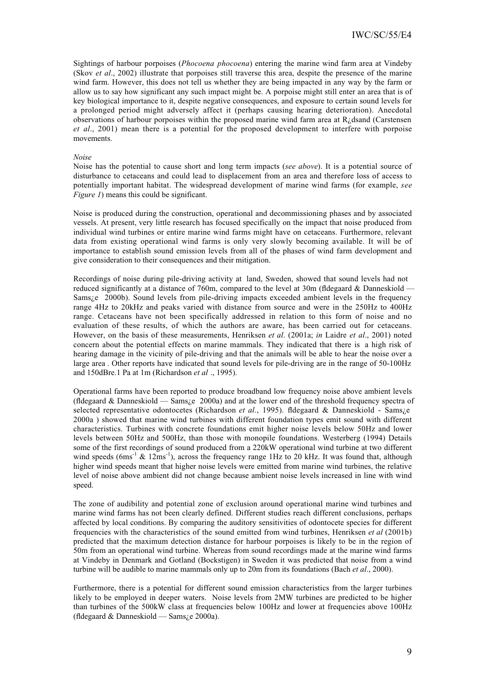Sightings of harbour porpoises (*Phocoena phocoena*) entering the marine wind farm area at Vindeby (Skov *et al*., 2002) illustrate that porpoises still traverse this area, despite the presence of the marine wind farm. However, this does not tell us whether they are being impacted in any way by the farm or allow us to say how significant any such impact might be. A porpoise might still enter an area that is of key biological importance to it, despite negative consequences, and exposure to certain sound levels for a prolonged period might adversely affect it (perhaps causing hearing deterioration). Anecdotal observations of harbour porpoises within the proposed marine wind farm area at  $R_{\lambda}$  dsand (Carstensen *et al*., 2001) mean there is a potential for the proposed development to interfere with porpoise movements.

#### *Noise*

Noise has the potential to cause short and long term impacts (*see above*). It is a potential source of disturbance to cetaceans and could lead to displacement from an area and therefore loss of access to potentially important habitat. The widespread development of marine wind farms (for example, *see Figure 1*) means this could be significant.

Noise is produced during the construction, operational and decommissioning phases and by associated vessels. At present, very little research has focused specifically on the impact that noise produced from individual wind turbines or entire marine wind farms might have on cetaceans. Furthermore, relevant data from existing operational wind farms is only very slowly becoming available. It will be of importance to establish sound emission levels from all of the phases of wind farm development and give consideration to their consequences and their mitigation.

Recordings of noise during pile-driving activity at land, Sweden, showed that sound levels had not reduced significantly at a distance of 760m, compared to the level at 30m (fldegaard & Danneskiold — Sams¿e 2000b). Sound levels from pile-driving impacts exceeded ambient levels in the frequency range 4Hz to 20kHz and peaks varied with distance from source and were in the 250Hz to 400Hz range. Cetaceans have not been specifically addressed in relation to this form of noise and no evaluation of these results, of which the authors are aware, has been carried out for cetaceans. However, on the basis of these measurements, Henriksen *et al*. (2001a; *in* Laidre *et al*., 2001) noted concern about the potential effects on marine mammals. They indicated that there is a high risk of hearing damage in the vicinity of pile-driving and that the animals will be able to hear the noise over a large area . Other reports have indicated that sound levels for pile-driving are in the range of 50-100Hz and 150dBre.1 Pa at 1m (Richardson *et al* ., 1995).

Operational farms have been reported to produce broadband low frequency noise above ambient levels (fldegaard & Danneskiold — Sams¿e 2000a) and at the lower end of the threshold frequency spectra of selected representative odontocetes (Richardson *et al*., 1995). fldegaard & Danneskiold - Sams¿e 2000a ) showed that marine wind turbines with different foundation types emit sound with different characteristics. Turbines with concrete foundations emit higher noise levels below 50Hz and lower levels between 50Hz and 500Hz, than those with monopile foundations. Westerberg (1994) Details some of the first recordings of sound produced from a 220kW operational wind turbine at two different wind speeds ( $6\text{ms}^{-1}$  &  $12\text{ms}^{-1}$ ), across the frequency range 1Hz to 20 kHz. It was found that, although higher wind speeds meant that higher noise levels were emitted from marine wind turbines, the relative level of noise above ambient did not change because ambient noise levels increased in line with wind speed.

The zone of audibility and potential zone of exclusion around operational marine wind turbines and marine wind farms has not been clearly defined. Different studies reach different conclusions, perhaps affected by local conditions. By comparing the auditory sensitivities of odontocete species for different frequencies with the characteristics of the sound emitted from wind turbines, Henriksen *et al* (2001b) predicted that the maximum detection distance for harbour porpoises is likely to be in the region of 50m from an operational wind turbine. Whereas from sound recordings made at the marine wind farms at Vindeby in Denmark and Gotland (Bockstigen) in Sweden it was predicted that noise from a wind turbine will be audible to marine mammals only up to 20m from its foundations (Bach *et al*., 2000).

Furthermore, there is a potential for different sound emission characteristics from the larger turbines likely to be employed in deeper waters. Noise levels from 2MW turbines are predicted to be higher than turbines of the 500kW class at frequencies below 100Hz and lower at frequencies above 100Hz (fldegaard & Danneskiold — Sams¿e 2000a).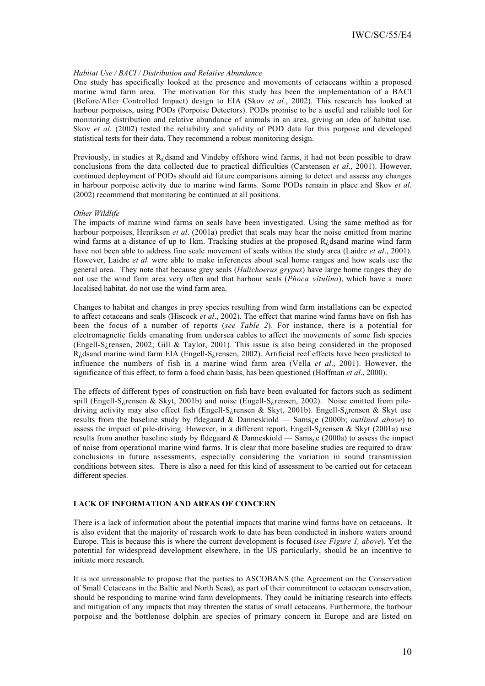### *Habitat Use / BACI / Distribution and Relative Abundance*

One study has specifically looked at the presence and movements of cetaceans within a proposed marine wind farm area. The motivation for this study has been the implementation of a BACI (Before/After Controlled Impact) design to EIA (Skov *et al*., 2002). This research has looked at harbour porpoises, using PODs (Porpoise Detectors). PODs promise to be a useful and reliable tool for monitoring distribution and relative abundance of animals in an area, giving an idea of habitat use. Skov *et al.* (2002) tested the reliability and validity of POD data for this purpose and developed statistical tests for their data. They recommend a robust monitoring design.

Previously, in studies at R¿dsand and Vindeby offshore wind farms, it had not been possible to draw conclusions from the data collected due to practical difficulties (Carstensen *et al*., 2001). However, continued deployment of PODs should aid future comparisons aiming to detect and assess any changes in harbour porpoise activity due to marine wind farms. Some PODs remain in place and Skov *et al*. (2002) recommend that monitoring be continued at all positions.

#### *Other Wildlife*

The impacts of marine wind farms on seals have been investigated. Using the same method as for harbour porpoises, Henriksen *et al*. (2001a) predict that seals may hear the noise emitted from marine wind farms at a distance of up to 1km. Tracking studies at the proposed  $R_{\zeta}$ dsand marine wind farm have not been able to address fine scale movement of seals within the study area (Laidre *et al*., 2001). However, Laidre *et al.* were able to make inferences about seal home ranges and how seals use the general area. They note that because grey seals (*Halichoerus grypus*) have large home ranges they do not use the wind farm area very often and that harbour seals (*Phoca vitulina*), which have a more localised habitat, do not use the wind farm area.

Changes to habitat and changes in prey species resulting from wind farm installations can be expected to affect cetaceans and seals (Hiscock *et al*., 2002). The effect that marine wind farms have on fish has been the focus of a number of reports (*see Table 2*). For instance, there is a potential for electromagnetic fields emanating from undersea cables to affect the movements of some fish species (Engell-S¿rensen, 2002; Gill & Taylor, 2001). This issue is also being considered in the proposed R¿dsand marine wind farm EIA (Engell-S¿rensen, 2002). Artificial reef effects have been predicted to influence the numbers of fish in a marine wind farm area (Vella *et al*., 2001). However, the significance of this effect, to form a food chain basis, has been questioned (Hoffman *et al*., 2000).

The effects of different types of construction on fish have been evaluated for factors such as sediment spill (Engell-S¿rensen & Skyt, 2001b) and noise (Engell-S¿rensen, 2002). Noise emitted from piledriving activity may also effect fish (Engell-S¿rensen & Skyt, 2001b). Engell-S¿rensen & Skyt use results from the baseline study by fldegaard & Danneskiold — Sams¿e (2000b; *outlined above*) to assess the impact of pile-driving. However, in a different report, Engell-S¿rensen & Skyt (2001a) use results from another baseline study by fldegaard & Danneskiold — Sams¿e (2000a) to assess the impact of noise from operational marine wind farms. It is clear that more baseline studies are required to draw conclusions in future assessments, especially considering the variation in sound transmission conditions between sites. There is also a need for this kind of assessment to be carried out for cetacean different species.

# **LACK OF INFORMATION AND AREAS OF CONCERN**

There is a lack of information about the potential impacts that marine wind farms have on cetaceans. It is also evident that the majority of research work to date has been conducted in inshore waters around Europe. This is because this is where the current development is focused (*see Figure 1, above*). Yet the potential for widespread development elsewhere, in the US particularly, should be an incentive to initiate more research.

It is not unreasonable to propose that the parties to ASCOBANS (the Agreement on the Conservation of Small Cetaceans in the Baltic and North Seas), as part of their commitment to cetacean conservation, should be responding to marine wind farm developments. They could be initiating research into effects and mitigation of any impacts that may threaten the status of small cetaceans. Furthermore, the harbour porpoise and the bottlenose dolphin are species of primary concern in Europe and are listed on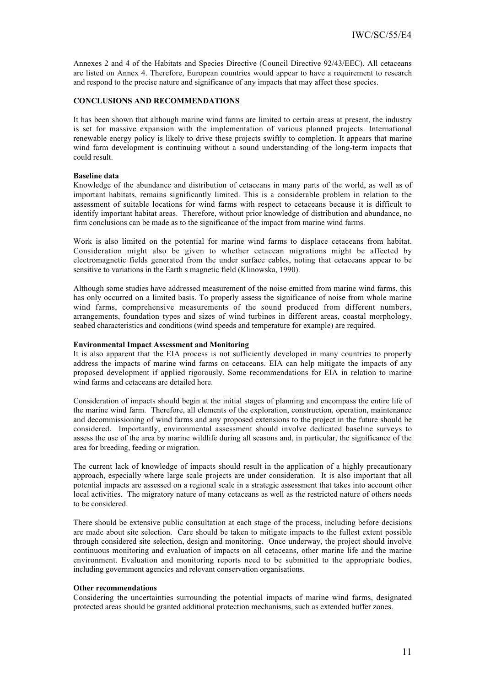Annexes 2 and 4 of the Habitats and Species Directive (Council Directive 92/43/EEC). All cetaceans are listed on Annex 4. Therefore, European countries would appear to have a requirement to research and respond to the precise nature and significance of any impacts that may affect these species.

### **CONCLUSIONS AND RECOMMENDATIONS**

It has been shown that although marine wind farms are limited to certain areas at present, the industry is set for massive expansion with the implementation of various planned projects. International renewable energy policy is likely to drive these projects swiftly to completion. It appears that marine wind farm development is continuing without a sound understanding of the long-term impacts that could result.

#### **Baseline data**

Knowledge of the abundance and distribution of cetaceans in many parts of the world, as well as of important habitats, remains significantly limited. This is a considerable problem in relation to the assessment of suitable locations for wind farms with respect to cetaceans because it is difficult to identify important habitat areas. Therefore, without prior knowledge of distribution and abundance, no firm conclusions can be made as to the significance of the impact from marine wind farms.

Work is also limited on the potential for marine wind farms to displace cetaceans from habitat. Consideration might also be given to whether cetacean migrations might be affected by electromagnetic fields generated from the under surface cables, noting that cetaceans appear to be sensitive to variations in the Earth s magnetic field (Klinowska, 1990).

Although some studies have addressed measurement of the noise emitted from marine wind farms, this has only occurred on a limited basis. To properly assess the significance of noise from whole marine wind farms, comprehensive measurements of the sound produced from different numbers, arrangements, foundation types and sizes of wind turbines in different areas, coastal morphology, seabed characteristics and conditions (wind speeds and temperature for example) are required.

### **Environmental Impact Assessment and Monitoring**

It is also apparent that the EIA process is not sufficiently developed in many countries to properly address the impacts of marine wind farms on cetaceans. EIA can help mitigate the impacts of any proposed development if applied rigorously. Some recommendations for EIA in relation to marine wind farms and cetaceans are detailed here.

Consideration of impacts should begin at the initial stages of planning and encompass the entire life of the marine wind farm. Therefore, all elements of the exploration, construction, operation, maintenance and decommissioning of wind farms and any proposed extensions to the project in the future should be considered. Importantly, environmental assessment should involve dedicated baseline surveys to assess the use of the area by marine wildlife during all seasons and, in particular, the significance of the area for breeding, feeding or migration.

The current lack of knowledge of impacts should result in the application of a highly precautionary approach, especially where large scale projects are under consideration. It is also important that all potential impacts are assessed on a regional scale in a strategic assessment that takes into account other local activities. The migratory nature of many cetaceans as well as the restricted nature of others needs to be considered.

There should be extensive public consultation at each stage of the process, including before decisions are made about site selection. Care should be taken to mitigate impacts to the fullest extent possible through considered site selection, design and monitoring. Once underway, the project should involve continuous monitoring and evaluation of impacts on all cetaceans, other marine life and the marine environment. Evaluation and monitoring reports need to be submitted to the appropriate bodies, including government agencies and relevant conservation organisations.

#### **Other recommendations**

Considering the uncertainties surrounding the potential impacts of marine wind farms, designated protected areas should be granted additional protection mechanisms, such as extended buffer zones.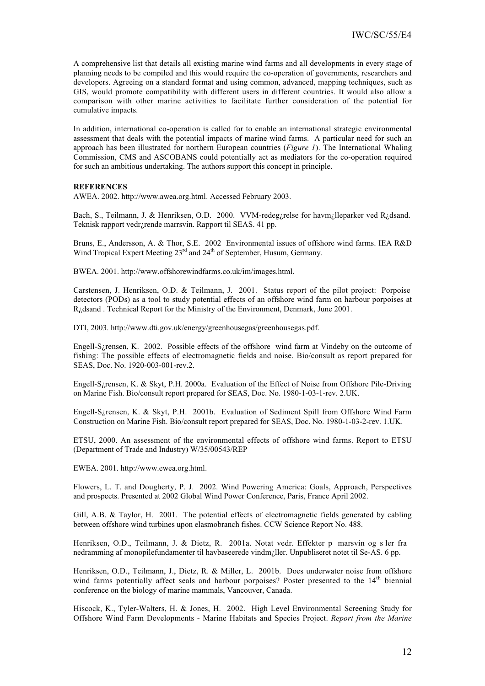A comprehensive list that details all existing marine wind farms and all developments in every stage of planning needs to be compiled and this would require the co-operation of governments, researchers and developers. Agreeing on a standard format and using common, advanced, mapping techniques, such as GIS, would promote compatibility with different users in different countries. It would also allow a comparison with other marine activities to facilitate further consideration of the potential for cumulative impacts.

In addition, international co-operation is called for to enable an international strategic environmental assessment that deals with the potential impacts of marine wind farms. A particular need for such an approach has been illustrated for northern European countries (*Figure 1*). The International Whaling Commission, CMS and ASCOBANS could potentially act as mediators for the co-operation required for such an ambitious undertaking. The authors support this concept in principle.

#### **REFERENCES**

AWEA. 2002. http://www.awea.org.html. Accessed February 2003.

Bach, S., Teilmann, J. & Henriksen, O.D. 2000. VVM-redeg¿relse for havm¿lleparker ved R¿dsand. Teknisk rapport vedr¿rende marrsvin. Rapport til SEAS. 41 pp.

Bruns, E., Andersson, A. & Thor, S.E. 2002 Environmental issues of offshore wind farms. IEA R&D Wind Tropical Expert Meeting 23<sup>rd</sup> and 24<sup>th</sup> of September, Husum, Germany.

BWEA. 2001. http://www.offshorewindfarms.co.uk/im/images.html.

Carstensen, J. Henriksen, O.D. & Teilmann, J. 2001. Status report of the pilot project: Porpoise detectors (PODs) as a tool to study potential effects of an offshore wind farm on harbour porpoises at R¿dsand . Technical Report for the Ministry of the Environment, Denmark, June 2001.

DTI, 2003. http://www.dti.gov.uk/energy/greenhousegas/greenhousegas.pdf.

Engell-S¿rensen, K. 2002. Possible effects of the offshore wind farm at Vindeby on the outcome of fishing: The possible effects of electromagnetic fields and noise. Bio/consult as report prepared for SEAS, Doc. No. 1920-003-001-rev.2.

Engell-S¿rensen, K. & Skyt, P.H. 2000a. Evaluation of the Effect of Noise from Offshore Pile-Driving on Marine Fish. Bio/consult report prepared for SEAS, Doc. No. 1980-1-03-1-rev. 2.UK.

Engell-S¿rensen, K. & Skyt, P.H. 2001b. Evaluation of Sediment Spill from Offshore Wind Farm Construction on Marine Fish. Bio/consult report prepared for SEAS, Doc. No. 1980-1-03-2-rev. 1.UK.

ETSU, 2000. An assessment of the environmental effects of offshore wind farms. Report to ETSU (Department of Trade and Industry) W/35/00543/REP

EWEA. 2001. http://www.ewea.org.html.

Flowers, L. T. and Dougherty, P. J. 2002. Wind Powering America: Goals, Approach, Perspectives and prospects. Presented at 2002 Global Wind Power Conference, Paris, France April 2002.

Gill, A.B. & Taylor, H. 2001. The potential effects of electromagnetic fields generated by cabling between offshore wind turbines upon elasmobranch fishes. CCW Science Report No. 488.

Henriksen, O.D., Teilmann, J. & Dietz, R. 2001a. Notat vedr. Effekter p marsvin og s ler fra nedramming af monopilefundamenter til havbaseerede vindm¿ller. Unpubliseret notet til Se-AS. 6 pp.

Henriksen, O.D., Teilmann, J., Dietz, R. & Miller, L. 2001b. Does underwater noise from offshore wind farms potentially affect seals and harbour porpoises? Poster presented to the 14<sup>th</sup> biennial conference on the biology of marine mammals, Vancouver, Canada.

Hiscock, K., Tyler-Walters, H. & Jones, H. 2002. High Level Environmental Screening Study for Offshore Wind Farm Developments - Marine Habitats and Species Project. *Report from the Marine*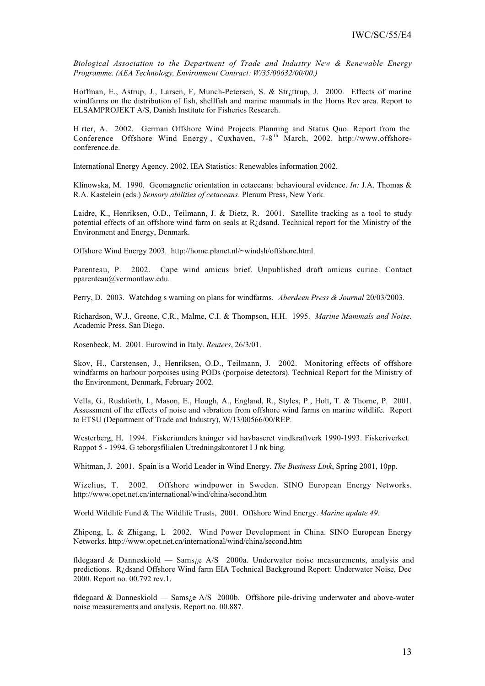*Biological Association to the Department of Trade and Industry New & Renewable Energy Programme. (AEA Technology, Environment Contract: W/35/00632/00/00.)*

Hoffman, E., Astrup, J., Larsen, F, Munch-Petersen, S. & Str¿ttrup, J. 2000. Effects of marine windfarms on the distribution of fish, shellfish and marine mammals in the Horns Rev area. Report to ELSAMPROJEKT A/S, Danish Institute for Fisheries Research.

H rter, A. 2002. German Offshore Wind Projects Planning and Status Quo. Report from the Conference Offshore Wind Energy, Cuxhaven, 7-8<sup>th</sup> March, 2002. http://www.offshoreconference.de.

International Energy Agency. 2002. IEA Statistics: Renewables information 2002.

Klinowska, M. 1990. Geomagnetic orientation in cetaceans: behavioural evidence. *In:* J.A. Thomas & R.A. Kastelein (eds.) *Sensory abilities of cetaceans*. Plenum Press, New York.

Laidre, K., Henriksen, O.D., Teilmann, J. & Dietz, R. 2001. Satellite tracking as a tool to study potential effects of an offshore wind farm on seals at R¿dsand. Technical report for the Ministry of the Environment and Energy, Denmark.

Offshore Wind Energy 2003. http://home.planet.nl/~windsh/offshore.html.

Parenteau, P. 2002. Cape wind amicus brief. Unpublished draft amicus curiae. Contact pparenteau@vermontlaw.edu.

Perry, D. 2003. Watchdog s warning on plans for windfarms. *Aberdeen Press & Journal* 20/03/2003.

Richardson, W.J., Greene, C.R., Malme, C.I. & Thompson, H.H. 1995. *Marine Mammals and Noise*. Academic Press, San Diego.

Rosenbeck, M. 2001. Eurowind in Italy. *Reuters*, 26/3/01.

Skov, H., Carstensen, J., Henriksen, O.D., Teilmann, J. 2002. Monitoring effects of offshore windfarms on harbour porpoises using PODs (porpoise detectors). Technical Report for the Ministry of the Environment, Denmark, February 2002.

Vella, G., Rushforth, I., Mason, E., Hough, A., England, R., Styles, P., Holt, T. & Thorne, P. 2001. Assessment of the effects of noise and vibration from offshore wind farms on marine wildlife. Report to ETSU (Department of Trade and Industry), W/13/00566/00/REP.

Westerberg, H. 1994. Fiskeriunders kninger vid havbaseret vindkraftverk 1990-1993. Fiskeriverket. Rappot 5 - 1994. G teborgsfilialen Utredningskontoret I J nk bing.

Whitman, J. 2001. Spain is a World Leader in Wind Energy. *The Business Link*, Spring 2001, 10pp.

Wizelius, T. 2002. Offshore windpower in Sweden. SINO European Energy Networks. http://www.opet.net.cn/international/wind/china/second.htm

World Wildlife Fund & The Wildlife Trusts, 2001. Offshore Wind Energy. *Marine update 49.*

Zhipeng, L. & Zhigang, L 2002. Wind Power Development in China. SINO European Energy Networks. http://www.opet.net.cn/international/wind/china/second.htm

fldegaard & Danneskiold — Sams¿e A/S 2000a. Underwater noise measurements, analysis and predictions. R¿dsand Offshore Wind farm EIA Technical Background Report: Underwater Noise, Dec 2000. Report no. 00.792 rev.1.

fldegaard & Danneskiold — Sams¿e A/S 2000b. Offshore pile-driving underwater and above-water noise measurements and analysis. Report no. 00.887.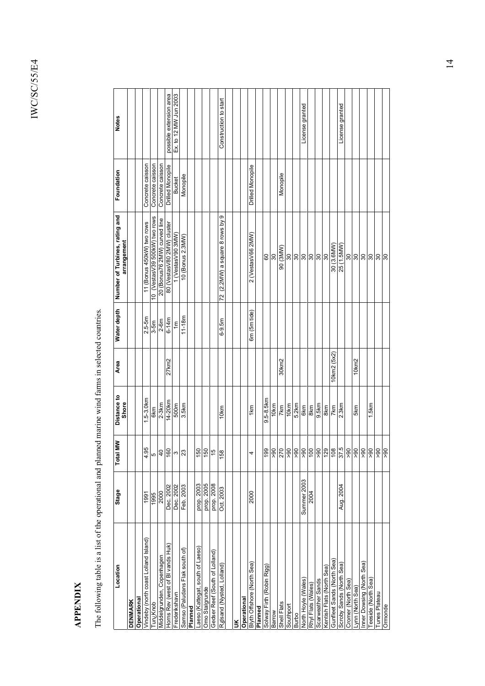# **APPENDIX APPENDIX**

The following table is a list of the operational and planned marine wind farms in selected countries. The following table is a list of the operational and planned marine wind farms in selected countries.

| Location                             | Stage       | <b>MMI</b><br>Total | Distance to<br>Shore | Area              | Water depth    | Number of Turbines, rating and<br>arrangement | Foundation              | <b>Notes</b>            |
|--------------------------------------|-------------|---------------------|----------------------|-------------------|----------------|-----------------------------------------------|-------------------------|-------------------------|
| <b>DENMARK</b>                       |             |                     |                      |                   |                |                                               |                         |                         |
| Operational                          |             |                     |                      |                   |                |                                               |                         |                         |
| Vindeby (north coast Lolland Island) | 1991        | 4.95                | .5-3.0km             |                   | $2.5 - 5m$     | 11 (Bonus 450kW) two rows                     | Concrete caisson        |                         |
| Tun¿Knob                             | 1995        | Ω                   | 6km                  |                   | $3-5m$         | 10 (VestasV39 500kW) two rows                 | Concrete caisson        |                         |
| Viddelgrunden, Copenhagen            | 2000        |                     | $2-3km$              |                   | $2-6m$         | oull pevino (MM2 92snuog) 02                  | Concrete caisson        |                         |
| Horns Rev (west of BI vands Huk)     | Dec. 2002   |                     | 14-20km              | 27km2             | $6 - 14m$      | 80 (VestasV80 2MW) cluster                    | <b>Drilled Monopile</b> | possible extension area |
| Frederikshavn                        | Dec. 2002   |                     | 500m                 |                   | $\overline{m}$ | 1 (VestasV90 3MW)                             | <b>Bucket</b>           | Ex. to 12 MW Jun 2003   |
| Samso (Paludans Flak south of)       | Feb. 2003   | 9892                | 3.5km                |                   | $11 - 18m$     | 10 (Bonus 2.3MW)                              | Monopile                |                         |
| Planned                              |             |                     |                      |                   |                |                                               |                         |                         |
| Laeso (Kattegat, south of Laeso)     | prop. 2003  |                     |                      |                   |                |                                               |                         |                         |
| Omo Stalgrunde                       | prop. 2005  | $\frac{1}{2}$ م     |                      |                   |                |                                               |                         |                         |
| Gedser Reef (South of Lolland)       | prop. 2008  |                     |                      |                   |                |                                               |                         |                         |
| R gsand (Nysted, Lolland             | Oct. 2003   | 158                 | 10km                 |                   | $6 - 9.5m$     | 72 (2.2MW) a square 8 rows by 9               |                         | Construction to start   |
|                                      |             |                     |                      |                   |                |                                               |                         |                         |
| $\leq$                               |             |                     |                      |                   |                |                                               |                         |                         |
| Operational                          |             |                     |                      |                   |                |                                               |                         |                         |
| Blyth Offshore (North Sea)           | 2000        |                     | 1km                  |                   | 6m (5m tide)   | 2 (VestasV66 2MW)                             | Drilled Monopile        |                         |
| Planned                              |             |                     |                      |                   |                |                                               |                         |                         |
| Solway Firth (Robin Rigg)            |             |                     | 9.5-8.5km            |                   |                | 80                                            |                         |                         |
| Barrow                               |             |                     | 10km                 |                   |                | 30                                            |                         |                         |
| Shell Flats                          |             |                     | 7km                  | 30km2             |                | 90 (3MW)                                      | Monopile                |                         |
| Southport                            |             |                     | 10km                 |                   |                |                                               |                         |                         |
| Burbo                                |             |                     | 5.2km                |                   |                |                                               |                         |                         |
| North Hoyle (Wales)                  | Summer 2003 |                     | 6km                  |                   |                |                                               |                         | License granted         |
| Rhyl Flats (Wales)                   | 2004        |                     | 8km                  |                   |                | ន ន ន ន ន ន                                   |                         |                         |
| Scarweather Sands                    |             |                     | 9.5km                |                   |                |                                               |                         |                         |
| Kentish Flats (North Sea)            |             |                     | 8km                  |                   |                |                                               |                         |                         |
| Gunfleet Sands (North Sea            |             |                     | 7km                  | 10km2 (5x2)       |                | 30 (3.6MW)                                    |                         |                         |
| Scroby Sands (North Sea)             | Aug. 2004   |                     | 2.3km                |                   |                | 25 (1.5MW)                                    |                         | License granted         |
| Cromer (North Sea)                   |             |                     |                      |                   |                | 30                                            |                         |                         |
| -ynn (North Sea)                     |             |                     | 5km                  | 10 <sub>km2</sub> |                | 88                                            |                         |                         |
| nner Dowsing (North Sea)             |             |                     |                      |                   |                |                                               |                         |                         |
| eeside (North Sea)                   |             |                     | 1.5km                |                   |                | 30                                            |                         |                         |
| Tunes Plateau                        |             |                     |                      |                   |                | $\frac{8}{3}$                                 |                         |                         |
| Ormonde                              |             |                     |                      |                   |                |                                               |                         |                         |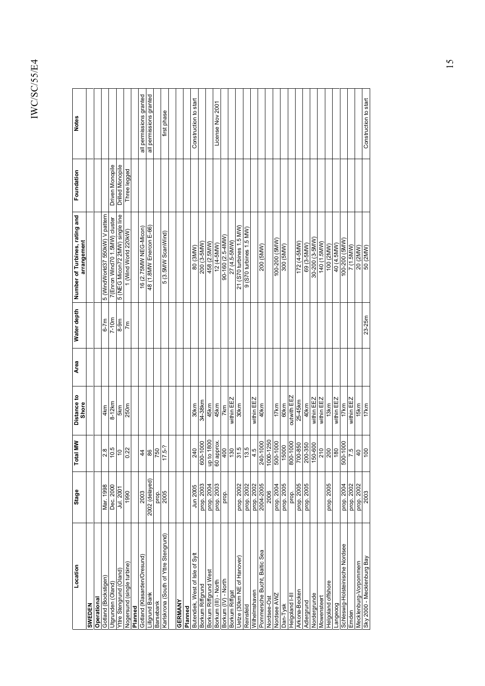| Location                              | Stage          | <b>Total MW</b>      | Distance to<br>Shore | Area | Water depth | Number of Turbines, rating and<br>arrangement | Foundation       | <b>Notes</b>            |
|---------------------------------------|----------------|----------------------|----------------------|------|-------------|-----------------------------------------------|------------------|-------------------------|
| SWEDEN                                |                |                      |                      |      |             |                                               |                  |                         |
| Operational                           |                |                      |                      |      |             |                                               |                  |                         |
| Gotland (Bockstigen)                  | Mar. 1998      | 2.8                  | 4km                  |      | $6 - 7m$    | 5 (WindWorld37 550kW) V pattern               |                  |                         |
| Utgrunden (Oland)                     | Dec. 2000      | 10.5                 | $8-12km$             |      | $7-10m$     | 7(Enron Wind70 1.5MW) cluster                 | Driven Monopile  |                         |
| Yttre Stengrund (Oland)               | Jul. 2001      | 0 <sub>1</sub>       | 5km                  |      | $8-9m$      | 5 (NEG Micon72 2MW) single line               | Drilled Monopile |                         |
| Nogersund (single turbine)            | 1990           | 0.22                 | 250m                 |      | 7m          | 1 (Wind World 220kW)                          | Three legged     |                         |
| Planned                               |                |                      |                      |      |             |                                               |                  |                         |
| Gotland (Klasarden/Oresund)           | 2003           | 44                   |                      |      |             | 16 (2.75MW NEG-Micon)                         |                  | all permissions granted |
| <b>illgrund Bank</b>                  | 2002 (delayed) | 86                   |                      |      |             | 48 (1.8MW Enercon E-66)                       |                  | all permissions granted |
| Barsebank                             | prop.          |                      |                      |      |             |                                               |                  |                         |
| Karlskrona (South of Yttre Stengrund) | 2005           | $\frac{750}{17.5-?}$ |                      |      |             | 5 (3.5MW ScanWind)                            |                  | first phase             |
|                                       |                |                      |                      |      |             |                                               |                  |                         |
| GERMANY                               |                |                      |                      |      |             |                                               |                  |                         |
| Planned                               |                |                      |                      |      |             |                                               |                  |                         |
| Butendiek, West of Isle of Syl        | Jun 2005       | 240                  | 30km                 |      |             | 80 (3MW)                                      |                  | Construction to start   |
| Borkum Riffgrund                      | prop. 2003     | 600-1000             | 34-38km              |      |             | 200 (3-5MW)                                   |                  |                         |
| Borkum Riffgrund West                 | prop. 2004     | up to 1800           | 45km                 |      |             | 458 (2.5MW)                                   |                  |                         |
| Borkum (III) - North                  | prop. 2003     | 60 approx.           | 45km                 |      |             | 12 (4-5MW)                                    |                  | License Nov 2001        |
| Borkum (IV) - North                   | prop.          | $rac{1}{2}$          | 7km                  |      |             | 90-160 (2.5-4MW)                              |                  |                         |
| Borkum Riffgat                        |                | 130                  | within EEZ           |      |             | 27 (4.5-5MW)                                  |                  |                         |
| Uetze (30km NE of Hanover)            | prop. 2002     |                      | 30km                 |      |             | (WM 5.1 senid.n. 02S) 1:2                     |                  |                         |
| Reinsfeld                             | prop. 2002     | $\frac{31.5}{13.5}$  |                      |      |             | $9$ (S70 turbines 1.5 MW)                     |                  |                         |
| Wilhelmshaven                         | prop. 2002     |                      | within EEZ           |      |             |                                               |                  |                         |
| Pommersche Bucht, Baltic Sea          | 2004-2005      | 240-1000             | 40km                 |      |             | 200 (5MW)                                     |                  |                         |
| Nordsee-Ost                           | 2006           | 1000-1250            |                      |      |             |                                               |                  |                         |
| Nordsee AWZ                           | prop. 2004     | 500-1000<br>15000    | 17km                 |      |             | (WWS) 002-001                                 |                  |                         |
| Dan-Tysk                              | prop. 2005     |                      | 60km                 |      |             | 300 (5MW)                                     |                  |                         |
| III-l pue <sub>l</sub> oßieH          | prop.          | 800-1000             | outwith EEZ          |      |             |                                               |                  |                         |
| Arkona-Becker                         | prop. 2005     | 700-850              | 25-45km              |      |             | 172 (4-5MW)                                   |                  |                         |
| Adlergrund                            | prop. 2005     | 200-350<br>150-600   | 40 <sub>km</sub>     |      |             | 69 (3-5MW)                                    |                  |                         |
| Nordergrunde                          |                |                      | within EEZ           |      |             | 30-200 (3-5MW)                                |                  |                         |
| Mowensteert                           |                | 210                  | within EEZ           |      |             | 140 (1.5MW)                                   |                  |                         |
| Helgoland offshore                    | prop. 2005     | 200                  | 13km                 |      |             | 100 (2MW)                                     |                  |                         |
| pooebue-                              |                | 180                  | within EEZ           |      |             | 40 (4.5MW)                                    |                  |                         |
| Schleswig-Holsteinische Nordsee       | prop. 2004     | 0001-009             | 17km                 |      |             | (MWS) 00Z-001                                 |                  |                         |
| Emden                                 | prop. 2002     | 7.5                  | within EEZ           |      |             | (VMWS: L) 2                                   |                  |                         |
| Mecklenburg-Vorpommern                | prop. 2002     | $\overline{0}$       | 15km                 |      |             | 20 (2MW)                                      |                  |                         |
| Areg Bunquelybe N - 0002 Ays          | 2003           | $\frac{00}{2}$       | 17km                 |      | $23 - 25m$  | 50 (2MW)                                      |                  | Construction to start   |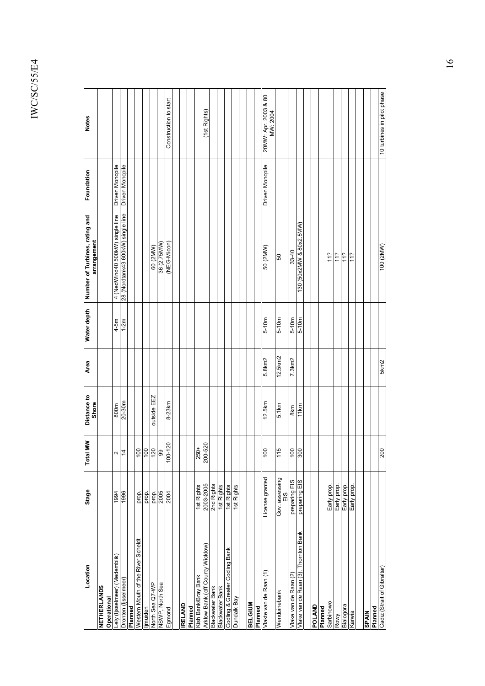| Location                             | Stage                 | <b>Total MW</b>        | Distance to<br>Shore | Area    | Water depth | Number of Turbines, rating and<br>arrangement | Foundation      | <b>Notes</b>                     |
|--------------------------------------|-----------------------|------------------------|----------------------|---------|-------------|-----------------------------------------------|-----------------|----------------------------------|
| NETHERLANDS                          |                       |                        |                      |         |             |                                               |                 |                                  |
| Operational                          |                       |                        |                      |         |             |                                               |                 |                                  |
| ely (ljsselmeer) (Medemblik)         | 1994                  |                        | 800m                 |         | $4-5m$      | 4 (NedWind40 500kW) single line               | Driven Monopile |                                  |
| Dronten (Ijsselmeer)                 | 1996                  | $\sim \vert \pm \vert$ | $20 - 30m$           |         | $1-2m$      | 28 (Nordtank43 600kW) single line             | Driven Monopile |                                  |
| Planned                              |                       |                        |                      |         |             |                                               |                 |                                  |
| Western Mouth of the River Scheldt   | prop.                 |                        |                      |         |             |                                               |                 |                                  |
| jmuiden                              | prop.                 |                        |                      |         |             |                                               |                 |                                  |
| North Sea Q7-WP                      | prop.                 | <u>ခြခြေ</u> ခြ        | outside EEZ          |         |             | 60 (2MW)                                      |                 |                                  |
| NSWP, North Sea                      | 2005                  |                        |                      |         |             | 36 (2.75MW)                                   |                 |                                  |
| Egmond                               | 2004                  | 100-120                | 8-23 <sub>km</sub>   |         |             | (NEG-Micon)                                   |                 | Construction to start            |
|                                      |                       |                        |                      |         |             |                                               |                 |                                  |
| <b>RELAND</b>                        |                       |                        |                      |         |             |                                               |                 |                                  |
| Planned                              |                       |                        |                      |         |             |                                               |                 |                                  |
| Kish Bank/Bray Bank                  | 1st Rights            |                        |                      |         |             |                                               |                 |                                  |
| Arklow Bank (off County Wicklow)     | 2003-2005             | $\frac{250+}{200-520}$ |                      |         |             |                                               |                 | (1st Rights)                     |
| Blackwater Bank                      | 2nd Rights            |                        |                      |         |             |                                               |                 |                                  |
| Blackwater Bank                      | 1st Rights            |                        |                      |         |             |                                               |                 |                                  |
| Codling & Greater Codling Bank       | 1st Rights            |                        |                      |         |             |                                               |                 |                                  |
| Dundalk Bay                          | 1st Rights            |                        |                      |         |             |                                               |                 |                                  |
|                                      |                       |                        |                      |         |             |                                               |                 |                                  |
| <b>BELGIUM</b>                       |                       |                        |                      |         |             |                                               |                 |                                  |
| Planned                              |                       |                        |                      |         |             |                                               |                 |                                  |
| Vlakte van de Raan (1)               | License granted       | 00                     | 12.5km               | 5.8km2  | $5-10m$     | 50 (2MW)                                      | Driven Monopile | 20MW: Apr. 2003 & 80<br>MW: 2004 |
| Wenduinebank                         | Gov. assessing<br>EIS | 15                     | 5.1km                | 12.5km2 | $5-10m$     | GO                                            |                 |                                  |
| Vlake van de Raan (2)                | preparing EIS         | $\frac{100}{300}$      | 8km                  | 7.3km2  | $5-10m$     | 33-40                                         |                 |                                  |
| Vlake van de Raan (3), Thornton Bank | preparing EIS         |                        | 11km                 |         | $5-10m$     | 130 (50x2MW & 80x2.5MW)                       |                 |                                  |
|                                      |                       |                        |                      |         |             |                                               |                 |                                  |
| POLAND                               |                       |                        |                      |         |             |                                               |                 |                                  |
| Planned                              |                       |                        |                      |         |             |                                               |                 |                                  |
| Sarbinowo                            | Early prop.           |                        |                      |         |             | 112                                           |                 |                                  |
| Rowy                                 | Early prop.           |                        |                      |         |             | 11?                                           |                 |                                  |
| Bialogora                            | Early prop.           |                        |                      |         |             | 112                                           |                 |                                  |
| Karwia                               | Early prop.           |                        |                      |         |             | 11?                                           |                 |                                  |
|                                      |                       |                        |                      |         |             |                                               |                 |                                  |
| <b>SPAIN</b>                         |                       |                        |                      |         |             |                                               |                 |                                  |
| Planned                              |                       |                        |                      |         |             |                                               |                 |                                  |
| Cadiz (Strait of Gibraltar)          |                       | 200                    |                      | 5km2    |             | 100 (2MW)                                     |                 | 10 turbines in pilot phase       |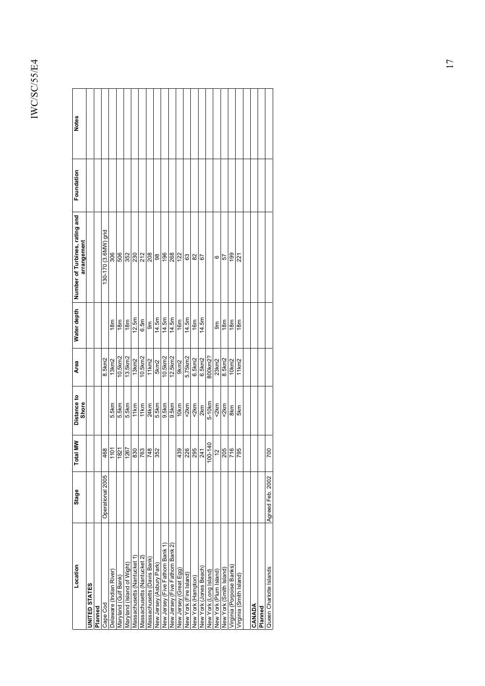| Location                        | Stage            | Š<br>Total                                                                                                                                                                                                                                                                                       | Distance to<br><b>Shore</b> | Area               | Water depth | Number of Turbines, rating and<br>arrangement | Foundation | <b>Notes</b> |  |
|---------------------------------|------------------|--------------------------------------------------------------------------------------------------------------------------------------------------------------------------------------------------------------------------------------------------------------------------------------------------|-----------------------------|--------------------|-------------|-----------------------------------------------|------------|--------------|--|
| <b>JNITED STATES</b>            |                  |                                                                                                                                                                                                                                                                                                  |                             |                    |             |                                               |            |              |  |
| Planned                         |                  |                                                                                                                                                                                                                                                                                                  |                             |                    |             |                                               |            |              |  |
| Cape Cod                        | Operational 2005 |                                                                                                                                                                                                                                                                                                  |                             | 8.5km2             |             | 130-170 (3.6MW) grid                          |            |              |  |
| Delaware (Indian River          |                  | $\frac{468}{1101}$                                                                                                                                                                                                                                                                               | 5.5km                       | 13 <sub>km</sub> 2 | 18m         | 306                                           |            |              |  |
| Maryland (Gulf Bank)            |                  |                                                                                                                                                                                                                                                                                                  | 5.5km                       | $10.5$ km $2$      | 18m         | 506                                           |            |              |  |
| Vlaryland (Island of Wight)     |                  |                                                                                                                                                                                                                                                                                                  | 5.5km                       | 13.5km2            | 18m         | 352                                           |            |              |  |
| Massachusetts (Nantucket        |                  |                                                                                                                                                                                                                                                                                                  | 11km                        | 13km2              | 12.5m       | 230                                           |            |              |  |
| Massachusetts (Nantucket 2)     |                  | $\frac{1}{\left \frac{1}{2}\right  \left \frac{1}{2}\right  \left \frac{1}{2}\right  \left \frac{1}{2}\right }{\left \frac{1}{2}\right  \left \frac{1}{2}\right  \left \frac{1}{2}\right  \left \frac{1}{2}\right }{\left \frac{1}{2}\right  \left \frac{1}{2}\right  \left \frac{1}{2}\right }$ | 11km                        | 10.5km2            | 6.5m        | 212                                           |            |              |  |
| Massachusetts (Davis Bank)      |                  |                                                                                                                                                                                                                                                                                                  | 24 <sub>km</sub>            | 11 km <sup>2</sup> | ទិ៍         | 208                                           |            |              |  |
| New Jersey (Asbury Park)        |                  |                                                                                                                                                                                                                                                                                                  | 5.5km                       | 5km2               | 14.5m       | 98                                            |            |              |  |
| New Jersey (Five Fathom Bank 1) |                  |                                                                                                                                                                                                                                                                                                  | 9.5km                       | 10.5km2            | 14.5m       | 196                                           |            |              |  |
| New Jersey (Five Fathom Bank 2) |                  |                                                                                                                                                                                                                                                                                                  | 9.5km                       | 12.5km2            | 14.5m       | 268                                           |            |              |  |
| New Jersey (Great Egg)          |                  |                                                                                                                                                                                                                                                                                                  | 10km                        | 9km2               | 16m         | 122                                           |            |              |  |
| New York (Fire Island)          |                  | $\frac{1}{3} \frac{1}{2} \left  \frac{1}{2} \right  \left  \frac{1}{2} \right  \left  \frac{1}{2} \right $                                                                                                                                                                                       | 2km                         | 5.75km2            | 14.5m       | 3                                             |            |              |  |
| New York (Hampton)              |                  |                                                                                                                                                                                                                                                                                                  | 2km                         | 6.5km2             | 16m         | 82                                            |            |              |  |
| New York (Jones Beach)          |                  |                                                                                                                                                                                                                                                                                                  | 2km                         | 6.5km2             | 14.5m       | 5                                             |            |              |  |
| New York (Long Island)          |                  | 100-140                                                                                                                                                                                                                                                                                          | 5-10km                      | 800km2?            |             |                                               |            |              |  |
| New York (Plum Island)          |                  |                                                                                                                                                                                                                                                                                                  | 2km                         | 23km2              | န္တ         | ဖ                                             |            |              |  |
| New York (Smith Island)         |                  |                                                                                                                                                                                                                                                                                                  | 2km                         | 8.5km2             | 18m         | 57                                            |            |              |  |
| /irginia (Porpoise Banks)       |                  | $\frac{2}{8}$                                                                                                                                                                                                                                                                                    | 8km                         | 10 <sub>km2</sub>  | 18m         | 199                                           |            |              |  |
| /irginia (Smith Island)         |                  |                                                                                                                                                                                                                                                                                                  | 5km                         | $11$ km $2$        | 18m         | 221                                           |            |              |  |
|                                 |                  |                                                                                                                                                                                                                                                                                                  |                             |                    |             |                                               |            |              |  |
| CANADA                          |                  |                                                                                                                                                                                                                                                                                                  |                             |                    |             |                                               |            |              |  |
| Planned                         |                  |                                                                                                                                                                                                                                                                                                  |                             |                    |             |                                               |            |              |  |
| Queen Charlotte Islands         | Agreed Feb. 2002 | 700                                                                                                                                                                                                                                                                                              |                             |                    |             |                                               |            |              |  |